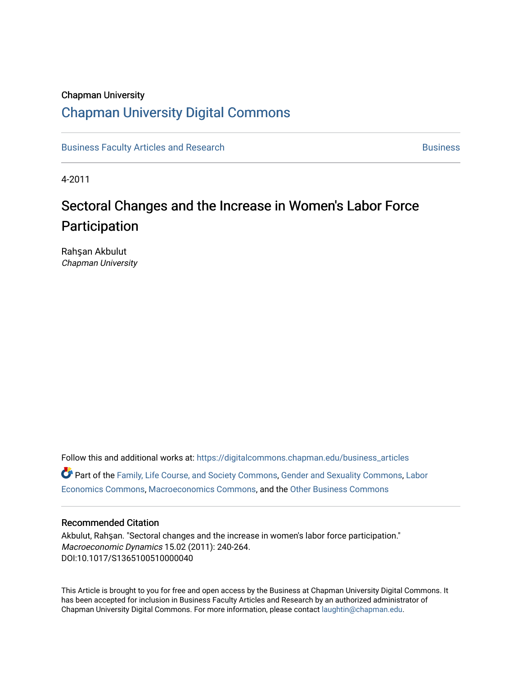# Chapman University [Chapman University Digital Commons](https://digitalcommons.chapman.edu/)

[Business Faculty Articles and Research](https://digitalcommons.chapman.edu/business_articles) [Business](https://digitalcommons.chapman.edu/business) **Business** Business

4-2011

# Sectoral Changes and the Increase in Women's Labor Force Participation

Rahşan Akbulut Chapman University

Follow this and additional works at: [https://digitalcommons.chapman.edu/business\\_articles](https://digitalcommons.chapman.edu/business_articles?utm_source=digitalcommons.chapman.edu%2Fbusiness_articles%2F2&utm_medium=PDF&utm_campaign=PDFCoverPages)  Part of the [Family, Life Course, and Society Commons,](http://network.bepress.com/hgg/discipline/419?utm_source=digitalcommons.chapman.edu%2Fbusiness_articles%2F2&utm_medium=PDF&utm_campaign=PDFCoverPages) [Gender and Sexuality Commons](http://network.bepress.com/hgg/discipline/420?utm_source=digitalcommons.chapman.edu%2Fbusiness_articles%2F2&utm_medium=PDF&utm_campaign=PDFCoverPages), [Labor](http://network.bepress.com/hgg/discipline/349?utm_source=digitalcommons.chapman.edu%2Fbusiness_articles%2F2&utm_medium=PDF&utm_campaign=PDFCoverPages)  [Economics Commons,](http://network.bepress.com/hgg/discipline/349?utm_source=digitalcommons.chapman.edu%2Fbusiness_articles%2F2&utm_medium=PDF&utm_campaign=PDFCoverPages) [Macroeconomics Commons](http://network.bepress.com/hgg/discipline/350?utm_source=digitalcommons.chapman.edu%2Fbusiness_articles%2F2&utm_medium=PDF&utm_campaign=PDFCoverPages), and the [Other Business Commons](http://network.bepress.com/hgg/discipline/647?utm_source=digitalcommons.chapman.edu%2Fbusiness_articles%2F2&utm_medium=PDF&utm_campaign=PDFCoverPages)

#### Recommended Citation

Akbulut, Rahşan. "Sectoral changes and the increase in women's labor force participation." Macroeconomic Dynamics 15.02 (2011): 240-264. DOI:10.1017/S1365100510000040

This Article is brought to you for free and open access by the Business at Chapman University Digital Commons. It has been accepted for inclusion in Business Faculty Articles and Research by an authorized administrator of Chapman University Digital Commons. For more information, please contact [laughtin@chapman.edu](mailto:laughtin@chapman.edu).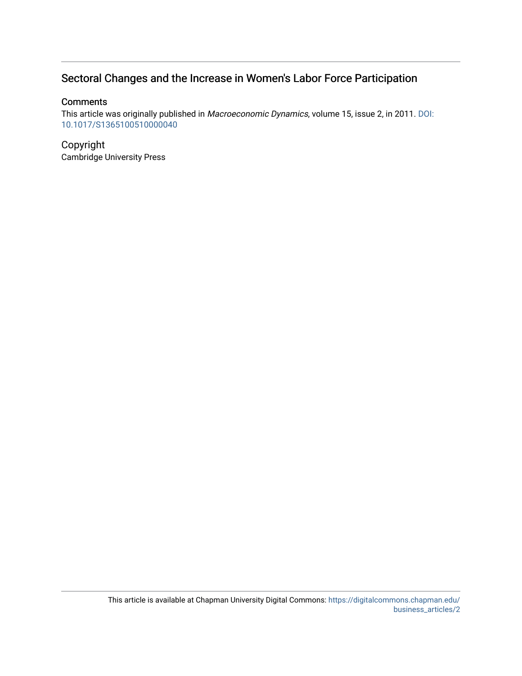### Sectoral Changes and the Increase in Women's Labor Force Participation

#### **Comments**

This article was originally published in Macroeconomic Dynamics, volume 15, issue 2, in 2011. [DOI:](http://dx.doi.org/10.1017/S1365100510000040) [10.1017/S1365100510000040](http://dx.doi.org/10.1017/S1365100510000040)

#### Copyright Cambridge University Press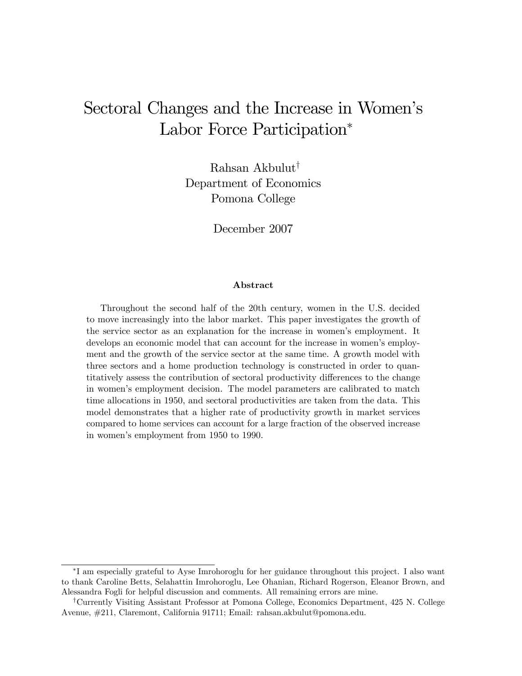# Sectoral Changes and the Increase in Women's Labor Force Participation<sup>\*</sup>

Rahsan Akbulut<sup>†</sup> Department of Economics Pomona College

December 2007

#### Abstract

Throughout the second half of the 20th century, women in the U.S. decided to move increasingly into the labor market. This paper investigates the growth of the service sector as an explanation for the increase in womenís employment. It develops an economic model that can account for the increase in women's employment and the growth of the service sector at the same time. A growth model with three sectors and a home production technology is constructed in order to quantitatively assess the contribution of sectoral productivity differences to the change in womenís employment decision. The model parameters are calibrated to match time allocations in 1950, and sectoral productivities are taken from the data. This model demonstrates that a higher rate of productivity growth in market services compared to home services can account for a large fraction of the observed increase in women's employment from 1950 to 1990.

I am especially grateful to Ayse Imrohoroglu for her guidance throughout this project. I also want to thank Caroline Betts, Selahattin Imrohoroglu, Lee Ohanian, Richard Rogerson, Eleanor Brown, and Alessandra Fogli for helpful discussion and comments. All remaining errors are mine.

<sup>&</sup>lt;sup>†</sup>Currently Visiting Assistant Professor at Pomona College, Economics Department, 425 N. College Avenue, #211, Claremont, California 91711; Email: rahsan.akbulut@pomona.edu.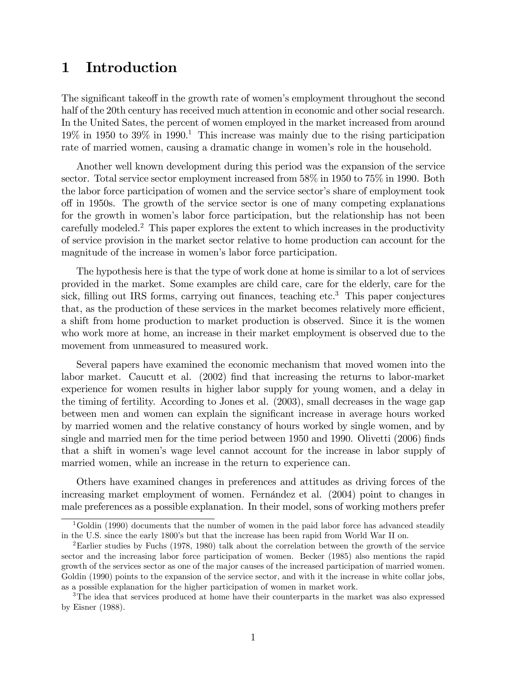# 1 Introduction

The significant takeoff in the growth rate of women's employment throughout the second half of the 20th century has received much attention in economic and other social research. In the United Sates, the percent of women employed in the market increased from around  $19\%$  in 1950 to 39% in 1990.<sup>1</sup> This increase was mainly due to the rising participation rate of married women, causing a dramatic change in women's role in the household.

Another well known development during this period was the expansion of the service sector. Total service sector employment increased from 58% in 1950 to 75% in 1990. Both the labor force participation of women and the service sector's share of employment took off in 1950s. The growth of the service sector is one of many competing explanations for the growth in women's labor force participation, but the relationship has not been carefully modeled.<sup>2</sup> This paper explores the extent to which increases in the productivity of service provision in the market sector relative to home production can account for the magnitude of the increase in women's labor force participation.

The hypothesis here is that the type of work done at home is similar to a lot of services provided in the market. Some examples are child care, care for the elderly, care for the sick, filling out IRS forms, carrying out finances, teaching  $etc.<sup>3</sup>$  This paper conjectures that, as the production of these services in the market becomes relatively more efficient, a shift from home production to market production is observed. Since it is the women who work more at home, an increase in their market employment is observed due to the movement from unmeasured to measured work.

Several papers have examined the economic mechanism that moved women into the labor market. Caucutt et al. (2002) find that increasing the returns to labor-market experience for women results in higher labor supply for young women, and a delay in the timing of fertility. According to Jones et al. (2003), small decreases in the wage gap between men and women can explain the significant increase in average hours worked by married women and the relative constancy of hours worked by single women, and by single and married men for the time period between  $1950$  and  $1990$ . Olivetti  $(2006)$  finds that a shift in womenís wage level cannot account for the increase in labor supply of married women, while an increase in the return to experience can.

Others have examined changes in preferences and attitudes as driving forces of the increasing market employment of women. Fernandez et al.  $(2004)$  point to changes in male preferences as a possible explanation. In their model, sons of working mothers prefer

<sup>&</sup>lt;sup>1</sup>Goldin (1990) documents that the number of women in the paid labor force has advanced steadily in the U.S. since the early 1800's but that the increase has been rapid from World War II on.

<sup>2</sup>Earlier studies by Fuchs (1978, 1980) talk about the correlation between the growth of the service sector and the increasing labor force participation of women. Becker (1985) also mentions the rapid growth of the services sector as one of the major causes of the increased participation of married women. Goldin (1990) points to the expansion of the service sector, and with it the increase in white collar jobs, as a possible explanation for the higher participation of women in market work.

<sup>&</sup>lt;sup>3</sup>The idea that services produced at home have their counterparts in the market was also expressed by Eisner (1988).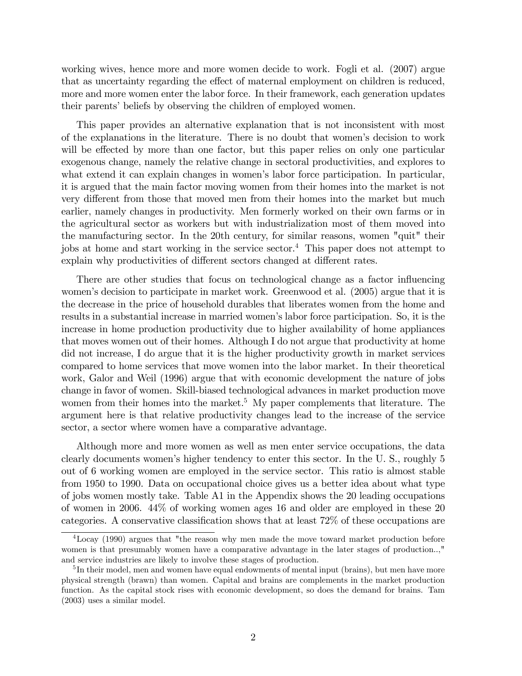working wives, hence more and more women decide to work. Fogli et al. (2007) argue that as uncertainty regarding the effect of maternal employment on children is reduced, more and more women enter the labor force. In their framework, each generation updates their parents' beliefs by observing the children of employed women.

This paper provides an alternative explanation that is not inconsistent with most of the explanations in the literature. There is no doubt that womenís decision to work will be effected by more than one factor, but this paper relies on only one particular exogenous change, namely the relative change in sectoral productivities, and explores to what extend it can explain changes in women's labor force participation. In particular, it is argued that the main factor moving women from their homes into the market is not very different from those that moved men from their homes into the market but much earlier, namely changes in productivity. Men formerly worked on their own farms or in the agricultural sector as workers but with industrialization most of them moved into the manufacturing sector. In the 20th century, for similar reasons, women "quit" their jobs at home and start working in the service sector.<sup>4</sup> This paper does not attempt to explain why productivities of different sectors changed at different rates.

There are other studies that focus on technological change as a factor influencing women's decision to participate in market work. Greenwood et al. (2005) argue that it is the decrease in the price of household durables that liberates women from the home and results in a substantial increase in married womenís labor force participation. So, it is the increase in home production productivity due to higher availability of home appliances that moves women out of their homes. Although I do not argue that productivity at home did not increase, I do argue that it is the higher productivity growth in market services compared to home services that move women into the labor market. In their theoretical work, Galor and Weil (1996) argue that with economic development the nature of jobs change in favor of women. Skill-biased technological advances in market production move women from their homes into the market.<sup>5</sup> My paper complements that literature. The argument here is that relative productivity changes lead to the increase of the service sector, a sector where women have a comparative advantage.

Although more and more women as well as men enter service occupations, the data clearly documents womenís higher tendency to enter this sector. In the U. S., roughly 5 out of 6 working women are employed in the service sector. This ratio is almost stable from 1950 to 1990. Data on occupational choice gives us a better idea about what type of jobs women mostly take. Table A1 in the Appendix shows the 20 leading occupations of women in 2006. 44% of working women ages 16 and older are employed in these 20 categories. A conservative classification shows that at least  $72\%$  of these occupations are

<sup>4</sup>Locay (1990) argues that "the reason why men made the move toward market production before women is that presumably women have a comparative advantage in the later stages of production..," and service industries are likely to involve these stages of production.

<sup>&</sup>lt;sup>5</sup>In their model, men and women have equal endowments of mental input (brains), but men have more physical strength (brawn) than women. Capital and brains are complements in the market production function. As the capital stock rises with economic development, so does the demand for brains. Tam (2003) uses a similar model.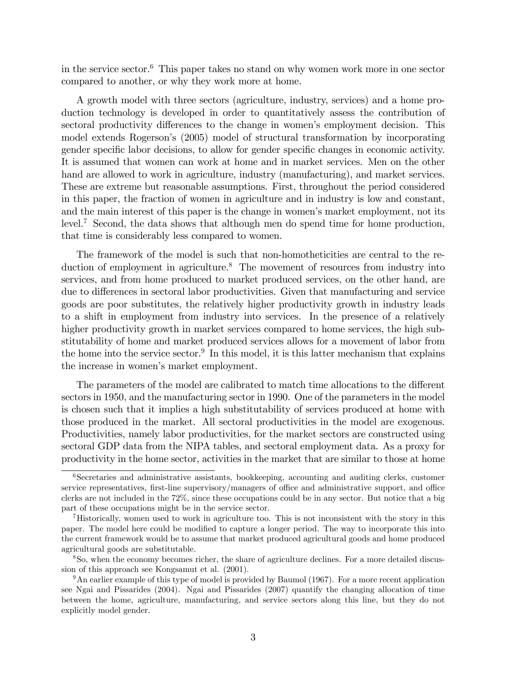in the service sector.<sup>6</sup> This paper takes no stand on why women work more in one sector compared to another, or why they work more at home.

A growth model with three sectors (agriculture, industry, services) and a home production technology is developed in order to quantitatively assess the contribution of sectoral productivity differences to the change in women's employment decision. This model extends Rogerson's (2005) model of structural transformation by incorporating gender specific labor decisions, to allow for gender specific changes in economic activity. It is assumed that women can work at home and in market services. Men on the other hand are allowed to work in agriculture, industry (manufacturing), and market services. These are extreme but reasonable assumptions. First, throughout the period considered in this paper, the fraction of women in agriculture and in industry is low and constant, and the main interest of this paper is the change in women's market employment, not its level.<sup>7</sup> Second, the data shows that although men do spend time for home production, that time is considerably less compared to women.

The framework of the model is such that non-homotheticities are central to the reduction of employment in agriculture.<sup>8</sup> The movement of resources from industry into services, and from home produced to market produced services, on the other hand, are due to differences in sectoral labor productivities. Given that manufacturing and service goods are poor substitutes, the relatively higher productivity growth in industry leads to a shift in employment from industry into services. In the presence of a relatively higher productivity growth in market services compared to home services, the high substitutability of home and market produced services allows for a movement of labor from the home into the service sector.<sup>9</sup> In this model, it is this latter mechanism that explains the increase in women's market employment.

The parameters of the model are calibrated to match time allocations to the different sectors in 1950, and the manufacturing sector in 1990. One of the parameters in the model is chosen such that it implies a high substitutability of services produced at home with those produced in the market. All sectoral productivities in the model are exogenous. Productivities, namely labor productivities, for the market sectors are constructed using sectoral GDP data from the NIPA tables, and sectoral employment data. As a proxy for productivity in the home sector, activities in the market that are similar to those at home

 $6$ Secretaries and administrative assistants, bookkeeping, accounting and auditing clerks, customer service representatives, first-line supervisory/managers of office and administrative support, and office clerks are not included in the 72%, since these occupations could be in any sector. But notice that a big part of these occupations might be in the service sector.

<sup>7</sup>Historically, women used to work in agriculture too. This is not inconsistent with the story in this paper. The model here could be modified to capture a longer period. The way to incorporate this into the current framework would be to assume that market produced agricultural goods and home produced agricultural goods are substitutable.

<sup>8</sup>So, when the economy becomes richer, the share of agriculture declines. For a more detailed discussion of this approach see Kongsamut et al. (2001).

<sup>&</sup>lt;sup>9</sup>An earlier example of this type of model is provided by Baumol (1967). For a more recent application see Ngai and Pissarides (2004). Ngai and Pissarides (2007) quantify the changing allocation of time between the home, agriculture, manufacturing, and service sectors along this line, but they do not explicitly model gender.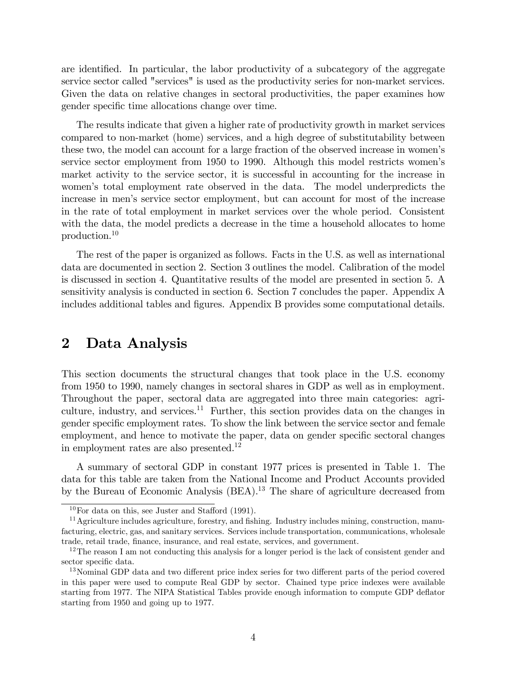are identified. In particular, the labor productivity of a subcategory of the aggregate service sector called "services" is used as the productivity series for non-market services. Given the data on relative changes in sectoral productivities, the paper examines how gender specific time allocations change over time.

The results indicate that given a higher rate of productivity growth in market services compared to non-market (home) services, and a high degree of substitutability between these two, the model can account for a large fraction of the observed increase in women's service sector employment from 1950 to 1990. Although this model restricts womenís market activity to the service sector, it is successful in accounting for the increase in womenís total employment rate observed in the data. The model underpredicts the increase in menís service sector employment, but can account for most of the increase in the rate of total employment in market services over the whole period. Consistent with the data, the model predicts a decrease in the time a household allocates to home production.<sup>10</sup>

The rest of the paper is organized as follows. Facts in the U.S. as well as international data are documented in section 2. Section 3 outlines the model. Calibration of the model is discussed in section 4. Quantitative results of the model are presented in section 5. A sensitivity analysis is conducted in section 6. Section 7 concludes the paper. Appendix A includes additional tables and figures. Appendix B provides some computational details.

## 2 Data Analysis

This section documents the structural changes that took place in the U.S. economy from 1950 to 1990, namely changes in sectoral shares in GDP as well as in employment. Throughout the paper, sectoral data are aggregated into three main categories: agriculture, industry, and services.<sup>11</sup> Further, this section provides data on the changes in gender specific employment rates. To show the link between the service sector and female employment, and hence to motivate the paper, data on gender specific sectoral changes in employment rates are also presented.<sup>12</sup>

A summary of sectoral GDP in constant 1977 prices is presented in Table 1. The data for this table are taken from the National Income and Product Accounts provided by the Bureau of Economic Analysis (BEA).<sup>13</sup> The share of agriculture decreased from

 $10$ For data on this, see Juster and Stafford (1991).

<sup>&</sup>lt;sup>11</sup> Agriculture includes agriculture, forestry, and fishing. Industry includes mining, construction, manufacturing, electric, gas, and sanitary services. Services include transportation, communications, wholesale trade, retail trade, finance, insurance, and real estate, services, and government.

 $12$ The reason I am not conducting this analysis for a longer period is the lack of consistent gender and sector specific data.

<sup>&</sup>lt;sup>13</sup>Nominal GDP data and two different price index series for two different parts of the period covered in this paper were used to compute Real GDP by sector. Chained type price indexes were available starting from 1977. The NIPA Statistical Tables provide enough information to compute GDP deáator starting from 1950 and going up to 1977.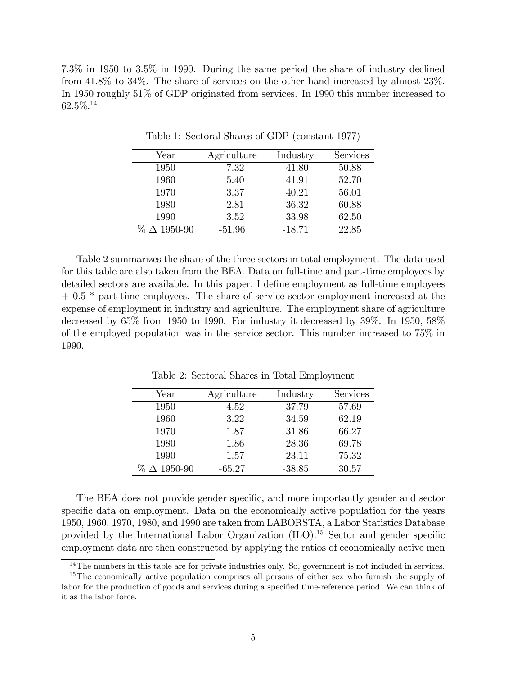7.3% in 1950 to 3.5% in 1990. During the same period the share of industry declined from 41.8% to 34%. The share of services on the other hand increased by almost 23%. In 1950 roughly 51% of GDP originated from services. In 1990 this number increased to 62.5%.<sup>14</sup>

| Year               | Agriculture | Industry | Services |
|--------------------|-------------|----------|----------|
| 1950               | 7.32        | 41.80    | 50.88    |
| 1960               | 5.40        | 41.91    | 52.70    |
| 1970               | 3.37        | 40.21    | 56.01    |
| 1980               | 2.81        | 36.32    | 60.88    |
| 1990               | 3.52        | 33.98    | 62.50    |
| $\Delta 1950 - 90$ | $-51.96$    | $-18.71$ | 22.85    |

Table 1: Sectoral Shares of GDP (constant 1977)

Table 2 summarizes the share of the three sectors in total employment. The data used for this table are also taken from the BEA. Data on full-time and part-time employees by detailed sectors are available. In this paper, I define employment as full-time employees + 0.5  $*$  part-time employees. The share of service sector employment increased at the expense of employment in industry and agriculture. The employment share of agriculture decreased by 65% from 1950 to 1990. For industry it decreased by 39%. In 1950, 58% of the employed population was in the service sector. This number increased to 75% in 1990.

| Year             | Agriculture | Industry | Services |
|------------------|-------------|----------|----------|
| 1950             | 4.52        | 37.79    | 57.69    |
| 1960             | 3.22        | 34.59    | 62.19    |
| 1970             | 1.87        | 31.86    | 66.27    |
| 1980             | 1.86        | 28.36    | 69.78    |
| 1990             | 1.57        | 23.11    | 75.32    |
| $\Delta$ 1950-90 | $-65.27$    | $-38.85$ | 30.57    |

Table 2: Sectoral Shares in Total Employment

The BEA does not provide gender specific, and more importantly gender and sector specific data on employment. Data on the economically active population for the years 1950, 1960, 1970, 1980, and 1990 are taken from LABORSTA, a Labor Statistics Database provided by the International Labor Organization  $(II)$ <sup>15</sup> Sector and gender specific employment data are then constructed by applying the ratios of economically active men

<sup>&</sup>lt;sup>14</sup>The numbers in this table are for private industries only. So, government is not included in services.

<sup>&</sup>lt;sup>15</sup>The economically active population comprises all persons of either sex who furnish the supply of labor for the production of goods and services during a specified time-reference period. We can think of it as the labor force.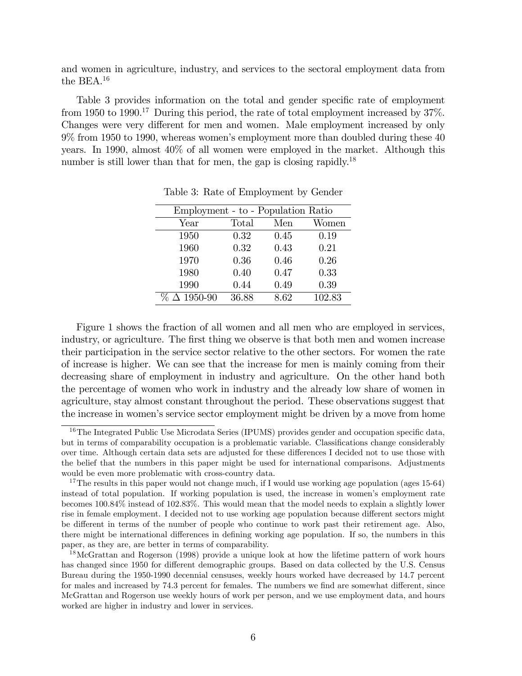and women in agriculture, industry, and services to the sectoral employment data from the BEA.<sup>16</sup>

Table 3 provides information on the total and gender specific rate of employment from 1950 to 1990.<sup>17</sup> During this period, the rate of total employment increased by  $37\%$ . Changes were very different for men and women. Male employment increased by only 9% from 1950 to 1990, whereas womenís employment more than doubled during these 40 years. In 1990, almost 40% of all women were employed in the market. Although this number is still lower than that for men, the gap is closing rapidly.<sup>18</sup>

| Employment - to - Population Ratio |       |      |        |  |
|------------------------------------|-------|------|--------|--|
| Year                               | Total | Men  | Women  |  |
| 1950                               | 0.32  | 0.45 | 0.19   |  |
| 1960                               | 0.32  | 0.43 | 0.21   |  |
| 1970                               | 0.36  | 0.46 | 0.26   |  |
| 1980                               | 0.40  | 0.47 | 0.33   |  |
| 1990                               | 0.44  | 0.49 | 0.39   |  |
| $\Delta$ 1950-90<br>%              | 36.88 | 8.62 | 102.83 |  |

Table 3: Rate of Employment by Gender

Figure 1 shows the fraction of all women and all men who are employed in services, industry, or agriculture. The first thing we observe is that both men and women increase their participation in the service sector relative to the other sectors. For women the rate of increase is higher. We can see that the increase for men is mainly coming from their decreasing share of employment in industry and agriculture. On the other hand both the percentage of women who work in industry and the already low share of women in agriculture, stay almost constant throughout the period. These observations suggest that the increase in womenís service sector employment might be driven by a move from home

 $16$ The Integrated Public Use Microdata Series (IPUMS) provides gender and occupation specific data, but in terms of comparability occupation is a problematic variable. Classifications change considerably over time. Although certain data sets are adjusted for these differences I decided not to use those with the belief that the numbers in this paper might be used for international comparisons. Adjustments would be even more problematic with cross-country data.

<sup>&</sup>lt;sup>17</sup>The results in this paper would not change much, if I would use working age population (ages 15-64) instead of total population. If working population is used, the increase in women's employment rate becomes 100.84% instead of 102.83%. This would mean that the model needs to explain a slightly lower rise in female employment. I decided not to use working age population because different sectors might be different in terms of the number of people who continue to work past their retirement age. Also, there might be international differences in defining working age population. If so, the numbers in this paper, as they are, are better in terms of comparability.

<sup>&</sup>lt;sup>18</sup>McGrattan and Rogerson (1998) provide a unique look at how the lifetime pattern of work hours has changed since 1950 for different demographic groups. Based on data collected by the U.S. Census Bureau during the 1950-1990 decennial censuses, weekly hours worked have decreased by 14.7 percent for males and increased by 74.3 percent for females. The numbers we find are somewhat different, since McGrattan and Rogerson use weekly hours of work per person, and we use employment data, and hours worked are higher in industry and lower in services.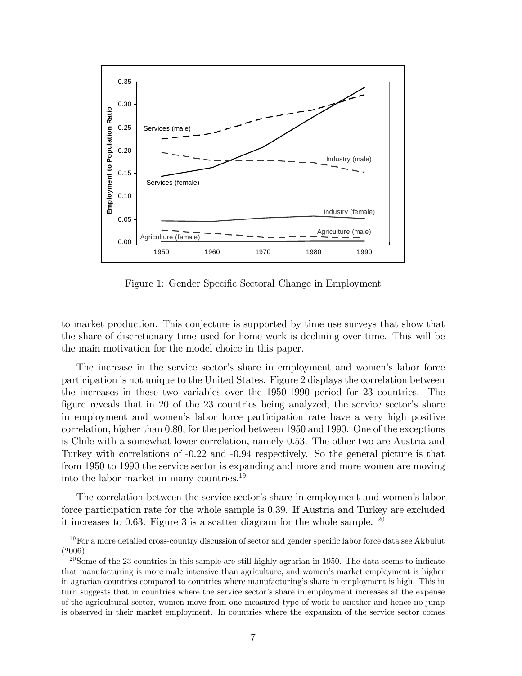

Figure 1: Gender Specific Sectoral Change in Employment

to market production. This conjecture is supported by time use surveys that show that the share of discretionary time used for home work is declining over time. This will be the main motivation for the model choice in this paper.

The increase in the service sector's share in employment and women's labor force participation is not unique to the United States. Figure 2 displays the correlation between the increases in these two variables over the 1950-1990 period for 23 countries. The figure reveals that in 20 of the  $23$  countries being analyzed, the service sector's share in employment and womenís labor force participation rate have a very high positive correlation, higher than 0.80, for the period between 1950 and 1990. One of the exceptions is Chile with a somewhat lower correlation, namely 0.53. The other two are Austria and Turkey with correlations of -0.22 and -0.94 respectively. So the general picture is that from 1950 to 1990 the service sector is expanding and more and more women are moving into the labor market in many countries.<sup>19</sup>

The correlation between the service sector's share in employment and women's labor force participation rate for the whole sample is 0.39. If Austria and Turkey are excluded it increases to 0.63. Figure 3 is a scatter diagram for the whole sample.  $^{20}$ 

 $19$  For a more detailed cross-country discussion of sector and gender specific labor force data see Akbulut (2006).

 $^{20}$ Some of the 23 countries in this sample are still highly agrarian in 1950. The data seems to indicate that manufacturing is more male intensive than agriculture, and women's market employment is higher in agrarian countries compared to countries where manufacturing's share in employment is high. This in turn suggests that in countries where the service sector's share in employment increases at the expense of the agricultural sector, women move from one measured type of work to another and hence no jump is observed in their market employment. In countries where the expansion of the service sector comes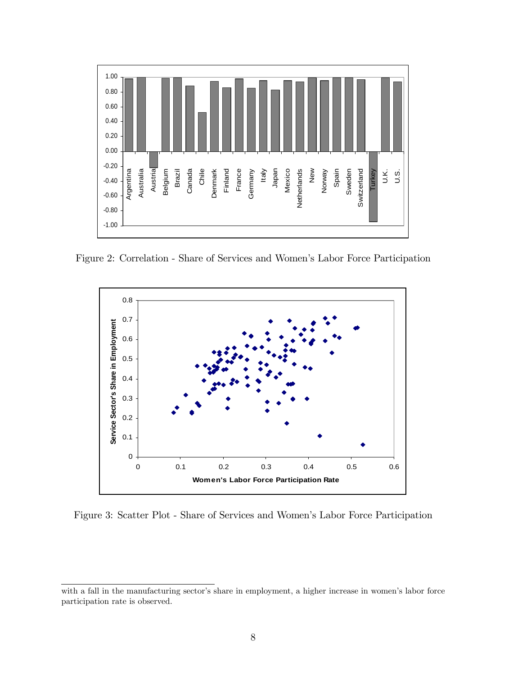

Figure 2: Correlation - Share of Services and Women's Labor Force Participation



Figure 3: Scatter Plot - Share of Services and Women's Labor Force Participation

with a fall in the manufacturing sector's share in employment, a higher increase in women's labor force participation rate is observed.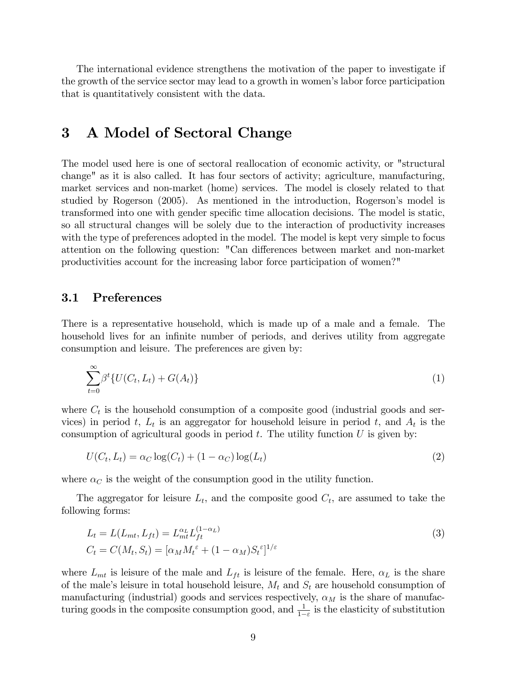The international evidence strengthens the motivation of the paper to investigate if the growth of the service sector may lead to a growth in women's labor force participation that is quantitatively consistent with the data.

# 3 A Model of Sectoral Change

The model used here is one of sectoral reallocation of economic activity, or "structural change" as it is also called. It has four sectors of activity; agriculture, manufacturing, market services and non-market (home) services. The model is closely related to that studied by Rogerson (2005). As mentioned in the introduction, Rogerson's model is transformed into one with gender specific time allocation decisions. The model is static, so all structural changes will be solely due to the interaction of productivity increases with the type of preferences adopted in the model. The model is kept very simple to focus attention on the following question: "Can differences between market and non-market productivities account for the increasing labor force participation of women?"

#### 3.1 Preferences

There is a representative household, which is made up of a male and a female. The household lives for an infinite number of periods, and derives utility from aggregate consumption and leisure. The preferences are given by:

$$
\sum_{t=0}^{\infty} \beta^t \{ U(C_t, L_t) + G(A_t) \}
$$
 (1)

where  $C_t$  is the household consumption of a composite good (industrial goods and services) in period t,  $L_t$  is an aggregator for household leisure in period t, and  $A_t$  is the consumption of agricultural goods in period  $t$ . The utility function  $U$  is given by:

$$
U(C_t, L_t) = \alpha_C \log(C_t) + (1 - \alpha_C) \log(L_t)
$$
\n<sup>(2)</sup>

where  $\alpha_C$  is the weight of the consumption good in the utility function.

The aggregator for leisure  $L_t$ , and the composite good  $C_t$ , are assumed to take the following forms:

$$
L_t = L(L_{mt}, L_{ft}) = L_{mt}^{\alpha_L} L_{ft}^{(1-\alpha_L)}
$$
  
\n
$$
C_t = C(M_t, S_t) = [\alpha_M M_t^{\varepsilon} + (1 - \alpha_M) S_t^{\varepsilon}]^{1/\varepsilon}
$$
\n(3)

where  $L_{mt}$  is leisure of the male and  $L_{ft}$  is leisure of the female. Here,  $\alpha_L$  is the share of the male's leisure in total household leisure,  $M_t$  and  $S_t$  are household consumption of manufacturing (industrial) goods and services respectively,  $\alpha_M$  is the share of manufacturing goods in the composite consumption good, and  $\frac{1}{1-\varepsilon}$  is the elasticity of substitution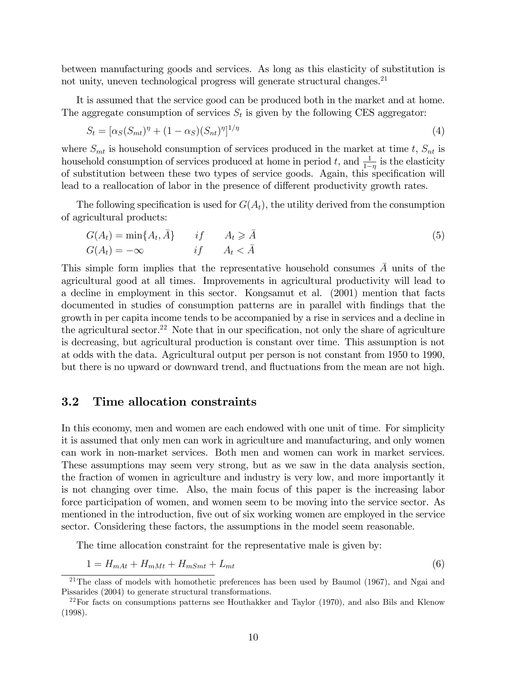between manufacturing goods and services. As long as this elasticity of substitution is not unity, uneven technological progress will generate structural changes.<sup>21</sup>

It is assumed that the service good can be produced both in the market and at home. The aggregate consumption of services  $S_t$  is given by the following CES aggregator:

$$
S_t = [\alpha_S (S_{mt})^{\eta} + (1 - \alpha_S)(S_{nt})^{\eta}]^{1/\eta}
$$
\n(4)

where  $S_{mt}$  is household consumption of services produced in the market at time t,  $S_{nt}$  is household consumption of services produced at home in period t, and  $\frac{1}{1-\eta}$  is the elasticity of substitution between these two types of service goods. Again, this specification will lead to a reallocation of labor in the presence of different productivity growth rates.

The following specification is used for  $G(A_t)$ , the utility derived from the consumption of agricultural products:

$$
G(A_t) = \min\{A_t, \bar{A}\} \qquad \text{if} \qquad A_t \geq \bar{A} G(A_t) = -\infty \qquad \text{if} \qquad A_t < \bar{A}
$$
\n
$$
(5)
$$

This simple form implies that the representative household consumes  $\overline{A}$  units of the agricultural good at all times. Improvements in agricultural productivity will lead to a decline in employment in this sector. Kongsamut et al. (2001) mention that facts documented in studies of consumption patterns are in parallel with Öndings that the growth in per capita income tends to be accompanied by a rise in services and a decline in the agricultural sector.<sup>22</sup> Note that in our specification, not only the share of agriculture is decreasing, but agricultural production is constant over time. This assumption is not at odds with the data. Agricultural output per person is not constant from 1950 to 1990, but there is no upward or downward trend, and fluctuations from the mean are not high.

#### 3.2 Time allocation constraints

In this economy, men and women are each endowed with one unit of time. For simplicity it is assumed that only men can work in agriculture and manufacturing, and only women can work in non-market services. Both men and women can work in market services. These assumptions may seem very strong, but as we saw in the data analysis section, the fraction of women in agriculture and industry is very low, and more importantly it is not changing over time. Also, the main focus of this paper is the increasing labor force participation of women, and women seem to be moving into the service sector. As mentioned in the introduction, five out of six working women are employed in the service sector. Considering these factors, the assumptions in the model seem reasonable.

The time allocation constraint for the representative male is given by:

$$
1 = H_{mAt} + H_{mMt} + H_{mSmt} + L_{mt}
$$
\n
$$
\tag{6}
$$

<sup>&</sup>lt;sup>21</sup>The class of models with homothetic preferences has been used by Baumol (1967), and Ngai and Pissarides (2004) to generate structural transformations.

 $22$ For facts on consumptions patterns see Houthakker and Taylor (1970), and also Bils and Klenow (1998).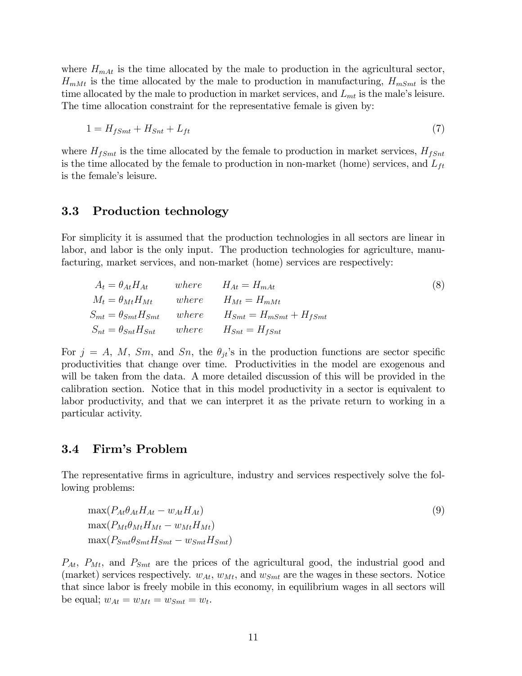where  $H_{mAt}$  is the time allocated by the male to production in the agricultural sector,  $H_{mMt}$  is the time allocated by the male to production in manufacturing,  $H_{mSmt}$  is the time allocated by the male to production in market services, and  $L_{mt}$  is the male's leisure. The time allocation constraint for the representative female is given by:

$$
1 = H_{fSmt} + H_{Snt} + L_{ft} \tag{7}
$$

where  $H_{fSmt}$  is the time allocated by the female to production in market services,  $H_{fSmt}$ is the time allocated by the female to production in non-market (home) services, and  $L_{ft}$ is the female's leisure.

#### 3.3 Production technology

For simplicity it is assumed that the production technologies in all sectors are linear in labor, and labor is the only input. The production technologies for agriculture, manufacturing, market services, and non-market (home) services are respectively:

| $A_t = \theta_{At} H_{At}$                                 | where $H_{At} = H_{mAt}$                                              | (8) |
|------------------------------------------------------------|-----------------------------------------------------------------------|-----|
| $M_t = \theta_{Mt} H_{Mt}$                                 | where $H_{Mt} = H_{mMt}$                                              |     |
|                                                            | $S_{mt} = \theta_{Smt} H_{Smt}$ where $H_{Smt} = H_{mSmt} + H_{fSmt}$ |     |
| $S_{nt} = \theta_{Snt} H_{Snt}$ where $H_{Snt} = H_{fSnt}$ |                                                                       |     |

For  $j = A, M, Sm$ , and  $Sn$ , the  $\theta_{it}$ 's in the production functions are sector specific productivities that change over time. Productivities in the model are exogenous and will be taken from the data. A more detailed discussion of this will be provided in the calibration section. Notice that in this model productivity in a sector is equivalent to labor productivity, and that we can interpret it as the private return to working in a particular activity.

#### 3.4 Firm's Problem

The representative firms in agriculture, industry and services respectively solve the following problems:

$$
\max(P_{At}\theta_{At}H_{At} - w_{At}H_{At})
$$
  
\n
$$
\max(P_{Mt}\theta_{Mt}H_{Mt} - w_{Mt}H_{Mt})
$$
  
\n
$$
\max(P_{Smt}\theta_{Smt}H_{Smt} - w_{Smt}H_{Smt})
$$
\n(9)

 $P_{At}$ ,  $P_{Mt}$ , and  $P_{Smt}$  are the prices of the agricultural good, the industrial good and (market) services respectively.  $w_{At}$ ,  $w_{Mt}$ , and  $w_{Smt}$  are the wages in these sectors. Notice that since labor is freely mobile in this economy, in equilibrium wages in all sectors will be equal;  $w_{At} = w_{Mt} = w_{Smt} = w_t$ .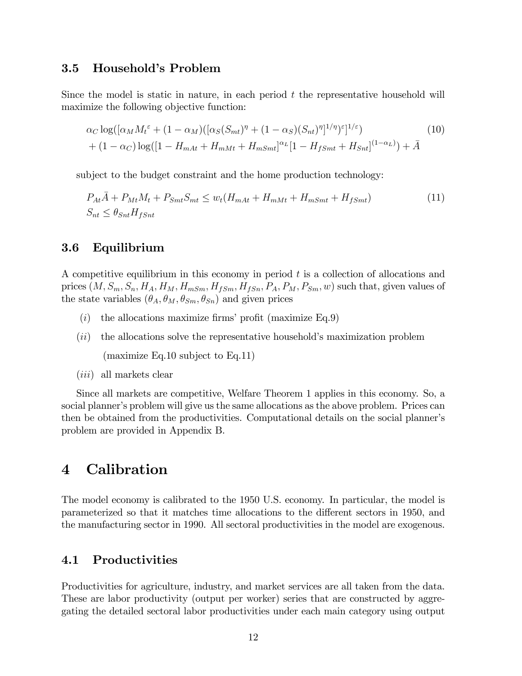#### 3.5 Household's Problem

Since the model is static in nature, in each period  $t$  the representative household will maximize the following objective function:

$$
\alpha_C \log([\alpha_M M_t^{\varepsilon} + (1 - \alpha_M)([\alpha_S (S_{mt})^{\eta} + (1 - \alpha_S)(S_{nt})^{\eta}]^{1/\eta})^{\varepsilon}]^{1/\varepsilon})
$$
\n
$$
+ (1 - \alpha_C) \log([1 - H_{mAt} + H_{mMt} + H_{mSmt}]^{\alpha_L} [1 - H_{fSmt} + H_{Smt}]^{(1 - \alpha_L)}) + \bar{A}
$$
\n(10)

subject to the budget constraint and the home production technology:

$$
P_{At}\overline{A} + P_{Mt}M_t + P_{Smt}S_{mt} \le w_t(H_{mAt} + H_{mMt} + H_{mSmt} + H_{fSmt})
$$
\n
$$
S_{nt} \le \theta_{Snt}H_{fSnt}
$$
\n
$$
(11)
$$

#### 3.6 Equilibrium

A competitive equilibrium in this economy in period  $t$  is a collection of allocations and prices  $(M, S_m, S_n, H_A, H_M, H_{mSm}, H_{fSm}, H_{fSm}, P_A, P_M, P_{Sm}, w)$  such that, given values of the state variables  $(\theta_A, \theta_M, \theta_{Sm}, \theta_{Sm})$  and given prices

- (i) the allocations maximize firms' profit (maximize  $Eq.9$ )
- $(ii)$  the allocations solve the representative household's maximization problem

(maximize Eq.10 subject to Eq.11)

 $(iii)$  all markets clear

Since all markets are competitive, Welfare Theorem 1 applies in this economy. So, a social planner's problem will give us the same allocations as the above problem. Prices can then be obtained from the productivities. Computational details on the social plannerís problem are provided in Appendix B.

## 4 Calibration

The model economy is calibrated to the 1950 U.S. economy. In particular, the model is parameterized so that it matches time allocations to the different sectors in 1950, and the manufacturing sector in 1990. All sectoral productivities in the model are exogenous.

### 4.1 Productivities

Productivities for agriculture, industry, and market services are all taken from the data. These are labor productivity (output per worker) series that are constructed by aggregating the detailed sectoral labor productivities under each main category using output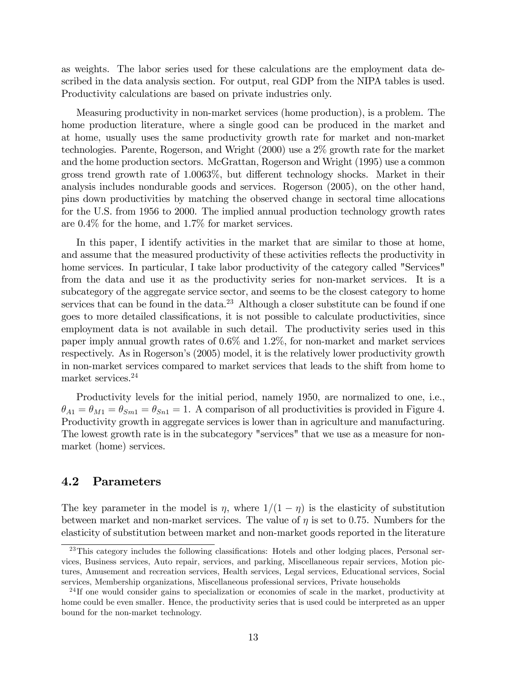as weights. The labor series used for these calculations are the employment data described in the data analysis section. For output, real GDP from the NIPA tables is used. Productivity calculations are based on private industries only.

Measuring productivity in non-market services (home production), is a problem. The home production literature, where a single good can be produced in the market and at home, usually uses the same productivity growth rate for market and non-market technologies. Parente, Rogerson, and Wright (2000) use a 2% growth rate for the market and the home production sectors. McGrattan, Rogerson and Wright (1995) use a common gross trend growth rate of  $1.0063\%$ , but different technology shocks. Market in their analysis includes nondurable goods and services. Rogerson (2005), on the other hand, pins down productivities by matching the observed change in sectoral time allocations for the U.S. from 1956 to 2000. The implied annual production technology growth rates are 0.4% for the home, and 1.7% for market services.

In this paper, I identify activities in the market that are similar to those at home, and assume that the measured productivity of these activities reflects the productivity in home services. In particular, I take labor productivity of the category called "Services" from the data and use it as the productivity series for non-market services. It is a subcategory of the aggregate service sector, and seems to be the closest category to home services that can be found in the data.<sup>23</sup> Although a closer substitute can be found if one goes to more detailed classifications, it is not possible to calculate productivities, since employment data is not available in such detail. The productivity series used in this paper imply annual growth rates of 0.6% and 1.2%, for non-market and market services respectively. As in Rogerson's (2005) model, it is the relatively lower productivity growth in non-market services compared to market services that leads to the shift from home to market services.<sup>24</sup>

Productivity levels for the initial period, namely 1950, are normalized to one, i.e.,  $\theta_{A1} = \theta_{M1} = \theta_{Sm1} = \theta_{Sm1} = 1$ . A comparison of all productivities is provided in Figure 4. Productivity growth in aggregate services is lower than in agriculture and manufacturing. The lowest growth rate is in the subcategory "services" that we use as a measure for nonmarket (home) services.

#### 4.2 Parameters

The key parameter in the model is  $\eta$ , where  $1/(1 - \eta)$  is the elasticity of substitution between market and non-market services. The value of  $\eta$  is set to 0.75. Numbers for the elasticity of substitution between market and non-market goods reported in the literature

<sup>&</sup>lt;sup>23</sup>This category includes the following classifications: Hotels and other lodging places, Personal services, Business services, Auto repair, services, and parking, Miscellaneous repair services, Motion pictures, Amusement and recreation services, Health services, Legal services, Educational services, Social services, Membership organizations, Miscellaneous professional services, Private households

 $^{24}$ If one would consider gains to specialization or economies of scale in the market, productivity at home could be even smaller. Hence, the productivity series that is used could be interpreted as an upper bound for the non-market technology.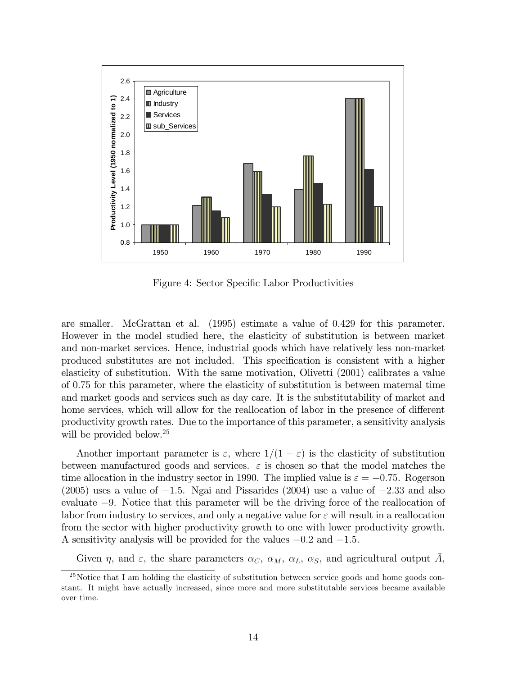

Figure 4: Sector Specific Labor Productivities

are smaller. McGrattan et al. (1995) estimate a value of 0:429 for this parameter. However in the model studied here, the elasticity of substitution is between market and non-market services. Hence, industrial goods which have relatively less non-market produced substitutes are not included. This specification is consistent with a higher elasticity of substitution. With the same motivation, Olivetti (2001) calibrates a value of 0:75 for this parameter, where the elasticity of substitution is between maternal time and market goods and services such as day care. It is the substitutability of market and home services, which will allow for the reallocation of labor in the presence of different productivity growth rates. Due to the importance of this parameter, a sensitivity analysis will be provided below.<sup>25</sup>

Another important parameter is  $\varepsilon$ , where  $1/(1 - \varepsilon)$  is the elasticity of substitution between manufactured goods and services.  $\varepsilon$  is chosen so that the model matches the time allocation in the industry sector in 1990. The implied value is  $\varepsilon = -0.75$ . Rogerson  $(2005)$  uses a value of  $-1.5$ . Ngai and Pissarides (2004) use a value of  $-2.33$  and also evaluate  $-9$ . Notice that this parameter will be the driving force of the reallocation of labor from industry to services, and only a negative value for  $\varepsilon$  will result in a reallocation from the sector with higher productivity growth to one with lower productivity growth. A sensitivity analysis will be provided for the values  $-0.2$  and  $-1.5$ .

Given  $\eta$ , and  $\varepsilon$ , the share parameters  $\alpha_C$ ,  $\alpha_M$ ,  $\alpha_L$ ,  $\alpha_S$ , and agricultural output A,

<sup>&</sup>lt;sup>25</sup>Notice that I am holding the elasticity of substitution between service goods and home goods constant. It might have actually increased, since more and more substitutable services became available over time.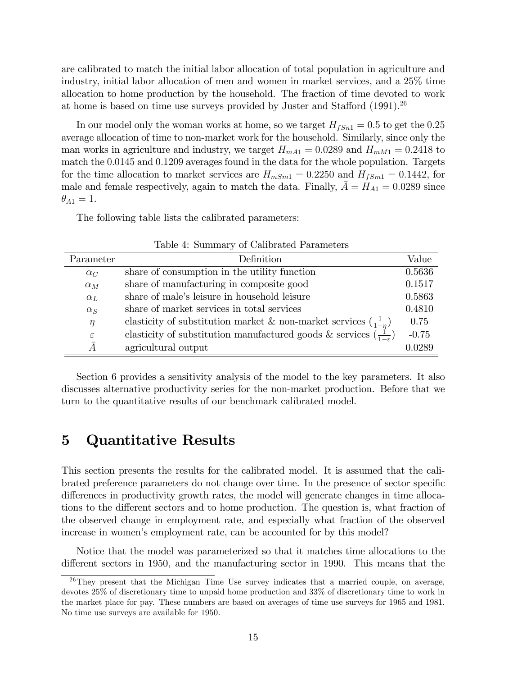are calibrated to match the initial labor allocation of total population in agriculture and industry, initial labor allocation of men and women in market services, and a 25% time allocation to home production by the household. The fraction of time devoted to work at home is based on time use surveys provided by Juster and Stafford  $(1991).^{26}$ 

In our model only the woman works at home, so we target  $H_{fSn1} = 0.5$  to get the 0.25 average allocation of time to non-market work for the household. Similarly, since only the man works in agriculture and industry, we target  $H_{mA1} = 0.0289$  and  $H_{mM1} = 0.2418$  to match the 0.0145 and 0.1209 averages found in the data for the whole population. Targets for the time allocation to market services are  $H_{mSm1} = 0.2250$  and  $H_{fSm1} = 0.1442$ , for male and female respectively, again to match the data. Finally,  $A = H_{A1} = 0.0289$  since  $\theta_{A1} = 1.$ 

The following table lists the calibrated parameters:

| Parameter     | Definition                                                                           | Value   |
|---------------|--------------------------------------------------------------------------------------|---------|
| $\alpha_C$    | share of consumption in the utility function                                         | 0.5636  |
| $\alpha_M$    | share of manufacturing in composite good                                             | 0.1517  |
| $\alpha_L$    | share of male's leisure in household leisure                                         | 0.5863  |
| $\alpha_S$    | share of market services in total services                                           | 0.4810  |
| $\eta$        | elasticity of substitution market & non-market services $\left(\frac{1}{1-n}\right)$ | 0.75    |
| $\varepsilon$ | elasticity of substitution manufactured goods & services $(\frac{1}{1-\epsilon})$    | $-0.75$ |
| Ā             | agricultural output                                                                  | 0.0289  |

Table 4: Summary of Calibrated Parameters

Section 6 provides a sensitivity analysis of the model to the key parameters. It also discusses alternative productivity series for the non-market production. Before that we turn to the quantitative results of our benchmark calibrated model.

### 5 Quantitative Results

 $\equiv$ 

This section presents the results for the calibrated model. It is assumed that the calibrated preference parameters do not change over time. In the presence of sector specific differences in productivity growth rates, the model will generate changes in time allocations to the different sectors and to home production. The question is, what fraction of the observed change in employment rate, and especially what fraction of the observed increase in women's employment rate, can be accounted for by this model?

Notice that the model was parameterized so that it matches time allocations to the different sectors in 1950, and the manufacturing sector in 1990. This means that the

 $^{26}$ They present that the Michigan Time Use survey indicates that a married couple, on average, devotes 25% of discretionary time to unpaid home production and 33% of discretionary time to work in the market place for pay. These numbers are based on averages of time use surveys for 1965 and 1981. No time use surveys are available for 1950.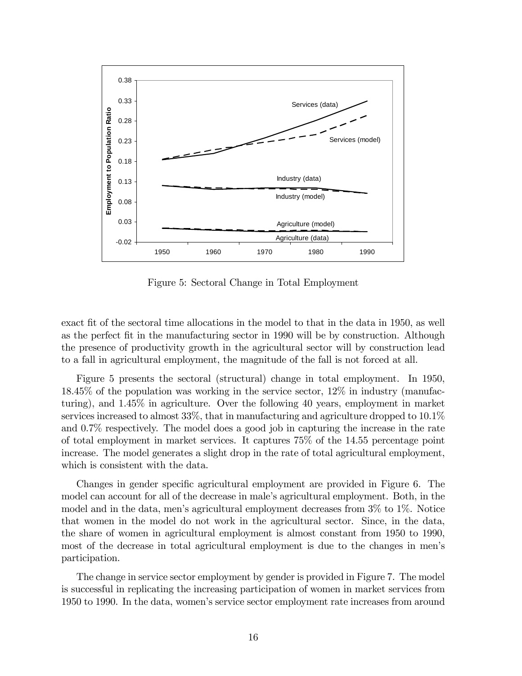

Figure 5: Sectoral Change in Total Employment

exact fit of the sectoral time allocations in the model to that in the data in 1950, as well as the perfect fit in the manufacturing sector in 1990 will be by construction. Although the presence of productivity growth in the agricultural sector will by construction lead to a fall in agricultural employment, the magnitude of the fall is not forced at all.

Figure 5 presents the sectoral (structural) change in total employment. In 1950, 18.45% of the population was working in the service sector, 12% in industry (manufacturing), and 1.45% in agriculture. Over the following 40 years, employment in market services increased to almost 33%, that in manufacturing and agriculture dropped to 10.1% and 0.7% respectively. The model does a good job in capturing the increase in the rate of total employment in market services. It captures 75% of the 14.55 percentage point increase. The model generates a slight drop in the rate of total agricultural employment, which is consistent with the data.

Changes in gender specific agricultural employment are provided in Figure 6. The model can account for all of the decrease in male's agricultural employment. Both, in the model and in the data, men's agricultural employment decreases from  $3\%$  to  $1\%$ . Notice that women in the model do not work in the agricultural sector. Since, in the data, the share of women in agricultural employment is almost constant from 1950 to 1990, most of the decrease in total agricultural employment is due to the changes in menís participation.

The change in service sector employment by gender is provided in Figure 7. The model is successful in replicating the increasing participation of women in market services from 1950 to 1990. In the data, womenís service sector employment rate increases from around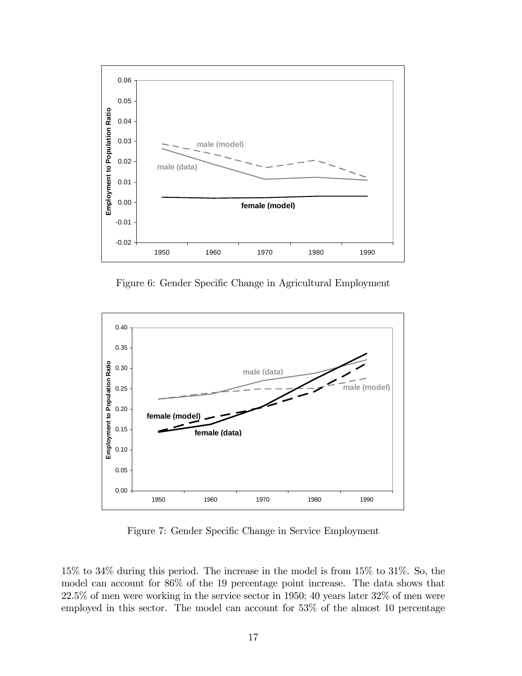

Figure 6: Gender Specific Change in Agricultural Employment



Figure 7: Gender Specific Change in Service Employment

15% to 34% during this period. The increase in the model is from 15% to 31%. So, the model can account for 86% of the 19 percentage point increase. The data shows that 22.5% of men were working in the service sector in 1950; 40 years later 32% of men were employed in this sector. The model can account for 53% of the almost 10 percentage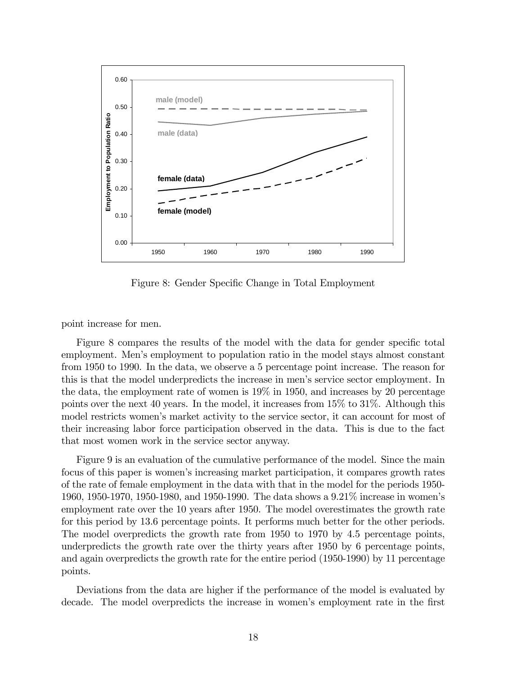

Figure 8: Gender Specific Change in Total Employment

point increase for men.

Figure 8 compares the results of the model with the data for gender specific total employment. Menís employment to population ratio in the model stays almost constant from 1950 to 1990. In the data, we observe a 5 percentage point increase. The reason for this is that the model underpredicts the increase in men's service sector employment. In the data, the employment rate of women is 19% in 1950, and increases by 20 percentage points over the next 40 years. In the model, it increases from 15% to 31%. Although this model restricts women's market activity to the service sector, it can account for most of their increasing labor force participation observed in the data. This is due to the fact that most women work in the service sector anyway.

Figure 9 is an evaluation of the cumulative performance of the model. Since the main focus of this paper is womenís increasing market participation, it compares growth rates of the rate of female employment in the data with that in the model for the periods 1950- 1960, 1950-1970, 1950-1980, and 1950-1990. The data shows a 9.21% increase in womenís employment rate over the 10 years after 1950. The model overestimates the growth rate for this period by 13.6 percentage points. It performs much better for the other periods. The model overpredicts the growth rate from 1950 to 1970 by 4.5 percentage points, underpredicts the growth rate over the thirty years after 1950 by 6 percentage points, and again overpredicts the growth rate for the entire period (1950-1990) by 11 percentage points.

Deviations from the data are higher if the performance of the model is evaluated by decade. The model overpredicts the increase in women's employment rate in the first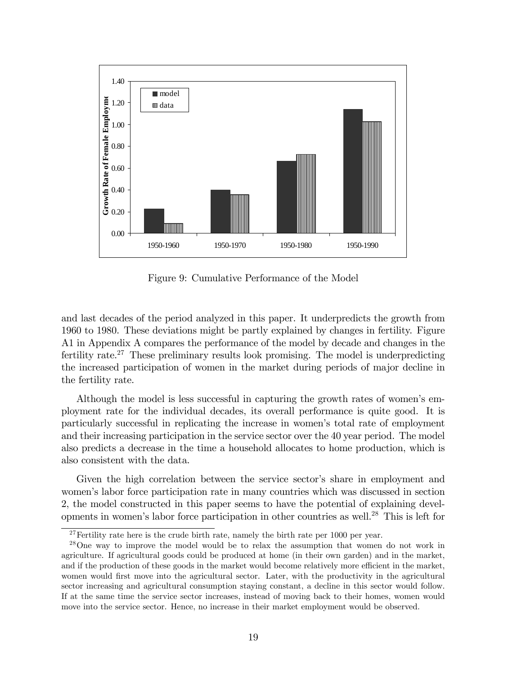

Figure 9: Cumulative Performance of the Model

and last decades of the period analyzed in this paper. It underpredicts the growth from 1960 to 1980. These deviations might be partly explained by changes in fertility. Figure A1 in Appendix A compares the performance of the model by decade and changes in the fertility rate.<sup>27</sup> These preliminary results look promising. The model is underpredicting the increased participation of women in the market during periods of major decline in the fertility rate.

Although the model is less successful in capturing the growth rates of women's employment rate for the individual decades, its overall performance is quite good. It is particularly successful in replicating the increase in womenís total rate of employment and their increasing participation in the service sector over the 40 year period. The model also predicts a decrease in the time a household allocates to home production, which is also consistent with the data.

Given the high correlation between the service sector's share in employment and women's labor force participation rate in many countries which was discussed in section 2, the model constructed in this paper seems to have the potential of explaining developments in women's labor force participation in other countries as well.<sup>28</sup> This is left for

<sup>&</sup>lt;sup>27</sup>Fertility rate here is the crude birth rate, namely the birth rate per 1000 per year.

<sup>28</sup>One way to improve the model would be to relax the assumption that women do not work in agriculture. If agricultural goods could be produced at home (in their own garden) and in the market, and if the production of these goods in the market would become relatively more efficient in the market, women would first move into the agricultural sector. Later, with the productivity in the agricultural sector increasing and agricultural consumption staying constant, a decline in this sector would follow. If at the same time the service sector increases, instead of moving back to their homes, women would move into the service sector. Hence, no increase in their market employment would be observed.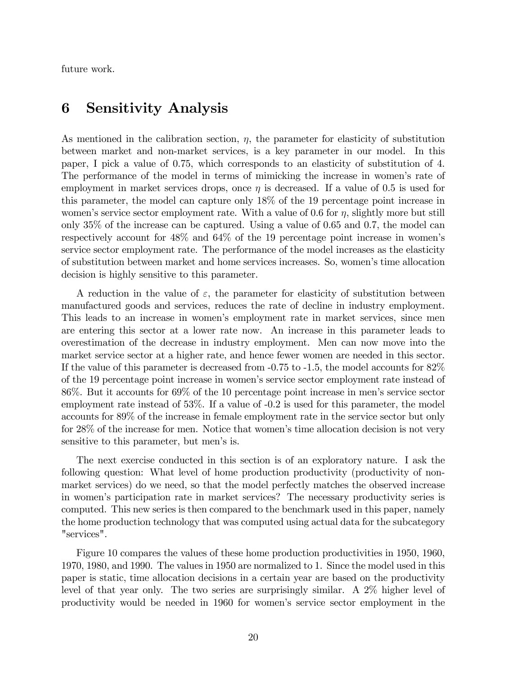future work.

### 6 Sensitivity Analysis

As mentioned in the calibration section,  $\eta$ , the parameter for elasticity of substitution between market and non-market services, is a key parameter in our model. In this paper, I pick a value of 0.75, which corresponds to an elasticity of substitution of 4. The performance of the model in terms of mimicking the increase in women's rate of employment in market services drops, once  $\eta$  is decreased. If a value of 0.5 is used for this parameter, the model can capture only 18% of the 19 percentage point increase in women's service sector employment rate. With a value of 0.6 for  $\eta$ , slightly more but still only 35% of the increase can be captured. Using a value of 0.65 and 0.7, the model can respectively account for 48% and 64% of the 19 percentage point increase in womenís service sector employment rate. The performance of the model increases as the elasticity of substitution between market and home services increases. So, womenís time allocation decision is highly sensitive to this parameter.

A reduction in the value of  $\varepsilon$ , the parameter for elasticity of substitution between manufactured goods and services, reduces the rate of decline in industry employment. This leads to an increase in womenís employment rate in market services, since men are entering this sector at a lower rate now. An increase in this parameter leads to overestimation of the decrease in industry employment. Men can now move into the market service sector at a higher rate, and hence fewer women are needed in this sector. If the value of this parameter is decreased from -0.75 to -1.5, the model accounts for 82% of the 19 percentage point increase in womenís service sector employment rate instead of 86%. But it accounts for 69% of the 10 percentage point increase in menís service sector employment rate instead of 53%. If a value of -0.2 is used for this parameter, the model accounts for 89% of the increase in female employment rate in the service sector but only for 28% of the increase for men. Notice that women's time allocation decision is not very sensitive to this parameter, but men's is.

The next exercise conducted in this section is of an exploratory nature. I ask the following question: What level of home production productivity (productivity of nonmarket services) do we need, so that the model perfectly matches the observed increase in women's participation rate in market services? The necessary productivity series is computed. This new series is then compared to the benchmark used in this paper, namely the home production technology that was computed using actual data for the subcategory "services".

Figure 10 compares the values of these home production productivities in 1950, 1960, 1970, 1980, and 1990. The values in 1950 are normalized to 1. Since the model used in this paper is static, time allocation decisions in a certain year are based on the productivity level of that year only. The two series are surprisingly similar. A 2% higher level of productivity would be needed in 1960 for womenís service sector employment in the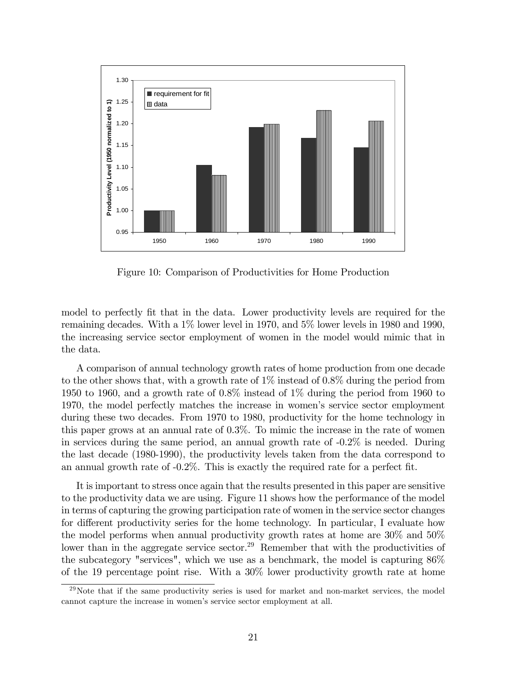

Figure 10: Comparison of Productivities for Home Production

model to perfectly fit that in the data. Lower productivity levels are required for the remaining decades. With a 1% lower level in 1970, and 5% lower levels in 1980 and 1990, the increasing service sector employment of women in the model would mimic that in the data.

A comparison of annual technology growth rates of home production from one decade to the other shows that, with a growth rate of  $1\%$  instead of  $0.8\%$  during the period from 1950 to 1960, and a growth rate of 0.8% instead of 1% during the period from 1960 to 1970, the model perfectly matches the increase in womenís service sector employment during these two decades. From 1970 to 1980, productivity for the home technology in this paper grows at an annual rate of 0.3%. To mimic the increase in the rate of women in services during the same period, an annual growth rate of -0.2% is needed. During the last decade (1980-1990), the productivity levels taken from the data correspond to an annual growth rate of  $-0.2\%$ . This is exactly the required rate for a perfect fit.

It is important to stress once again that the results presented in this paper are sensitive to the productivity data we are using. Figure 11 shows how the performance of the model in terms of capturing the growing participation rate of women in the service sector changes for different productivity series for the home technology. In particular, I evaluate how the model performs when annual productivity growth rates at home are 30% and 50% lower than in the aggregate service sector.<sup>29</sup> Remember that with the productivities of the subcategory "services", which we use as a benchmark, the model is capturing 86% of the 19 percentage point rise. With a 30% lower productivity growth rate at home

 $^{29}$ Note that if the same productivity series is used for market and non-market services, the model cannot capture the increase in women's service sector employment at all.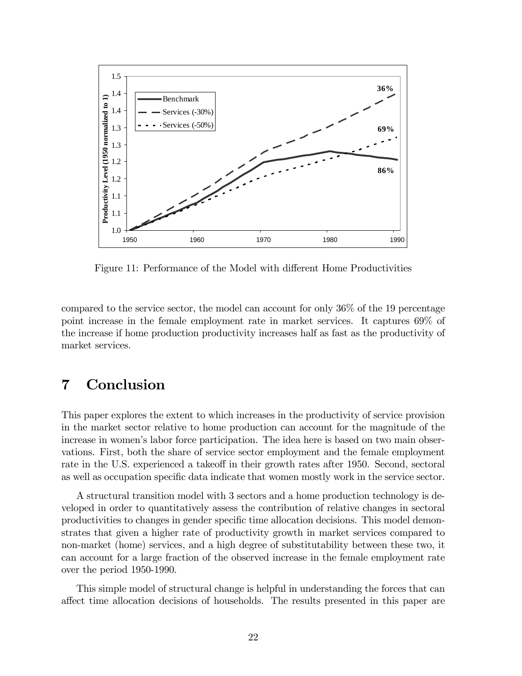

Figure 11: Performance of the Model with different Home Productivities

compared to the service sector, the model can account for only 36% of the 19 percentage point increase in the female employment rate in market services. It captures 69% of the increase if home production productivity increases half as fast as the productivity of market services.

# 7 Conclusion

This paper explores the extent to which increases in the productivity of service provision in the market sector relative to home production can account for the magnitude of the increase in women's labor force participation. The idea here is based on two main observations. First, both the share of service sector employment and the female employment rate in the U.S. experienced a takeoff in their growth rates after 1950. Second, sectoral as well as occupation specific data indicate that women mostly work in the service sector.

A structural transition model with 3 sectors and a home production technology is developed in order to quantitatively assess the contribution of relative changes in sectoral productivities to changes in gender specific time allocation decisions. This model demonstrates that given a higher rate of productivity growth in market services compared to non-market (home) services, and a high degree of substitutability between these two, it can account for a large fraction of the observed increase in the female employment rate over the period 1950-1990.

This simple model of structural change is helpful in understanding the forces that can affect time allocation decisions of households. The results presented in this paper are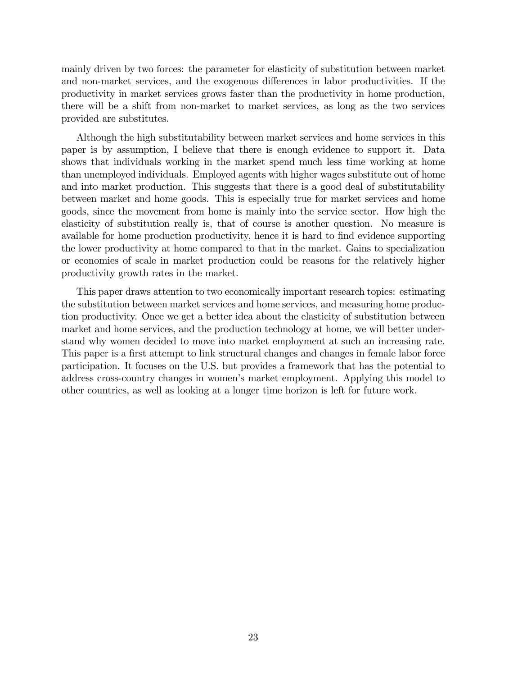mainly driven by two forces: the parameter for elasticity of substitution between market and non-market services, and the exogenous differences in labor productivities. If the productivity in market services grows faster than the productivity in home production, there will be a shift from non-market to market services, as long as the two services provided are substitutes.

Although the high substitutability between market services and home services in this paper is by assumption, I believe that there is enough evidence to support it. Data shows that individuals working in the market spend much less time working at home than unemployed individuals. Employed agents with higher wages substitute out of home and into market production. This suggests that there is a good deal of substitutability between market and home goods. This is especially true for market services and home goods, since the movement from home is mainly into the service sector. How high the elasticity of substitution really is, that of course is another question. No measure is available for home production productivity, hence it is hard to Önd evidence supporting the lower productivity at home compared to that in the market. Gains to specialization or economies of scale in market production could be reasons for the relatively higher productivity growth rates in the market.

This paper draws attention to two economically important research topics: estimating the substitution between market services and home services, and measuring home production productivity. Once we get a better idea about the elasticity of substitution between market and home services, and the production technology at home, we will better understand why women decided to move into market employment at such an increasing rate. This paper is a first attempt to link structural changes and changes in female labor force participation. It focuses on the U.S. but provides a framework that has the potential to address cross-country changes in womenís market employment. Applying this model to other countries, as well as looking at a longer time horizon is left for future work.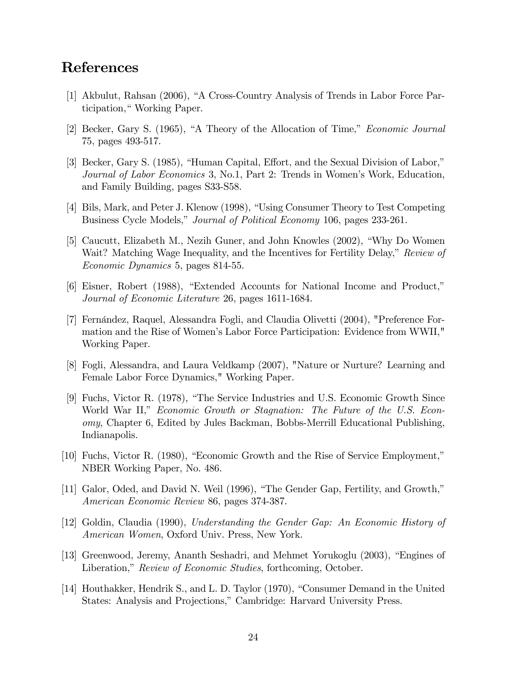### References

- [1] Akbulut, Rahsan (2006), "A Cross-Country Analysis of Trends in Labor Force Participation," Working Paper.
- [2] Becker, Gary S.  $(1965)$ , "A Theory of the Allocation of Time," *Economic Journal* 75, pages 493-517.
- [3] Becker, Gary S. (1985), "Human Capital, Effort, and the Sexual Division of Labor," Journal of Labor Economics 3, No.1, Part 2: Trends in Women's Work, Education, and Family Building, pages S33-S58.
- [4] Bils, Mark, and Peter J. Klenow (1998), "Using Consumer Theory to Test Competing Business Cycle Models," Journal of Political Economy 106, pages 233-261.
- [5] Caucutt, Elizabeth M., Nezih Guner, and John Knowles (2002), "Why Do Women Wait? Matching Wage Inequality, and the Incentives for Fertility Delay," Review of Economic Dynamics 5, pages 814-55.
- [6] Eisner, Robert (1988), "Extended Accounts for National Income and Product," Journal of Economic Literature 26, pages 1611-1684.
- [7] Fernández, Raquel, Alessandra Fogli, and Claudia Olivetti (2004), "Preference Formation and the Rise of Womenís Labor Force Participation: Evidence from WWII," Working Paper.
- [8] Fogli, Alessandra, and Laura Veldkamp (2007), "Nature or Nurture? Learning and Female Labor Force Dynamics," Working Paper.
- [9] Fuchs, Victor R. (1978), "The Service Industries and U.S. Economic Growth Since World War II," Economic Growth or Stagnation: The Future of the U.S. Economy, Chapter 6, Edited by Jules Backman, Bobbs-Merrill Educational Publishing, Indianapolis.
- $[10]$  Fuchs, Victor R. (1980), "Economic Growth and the Rise of Service Employment," NBER Working Paper, No. 486.
- [11] Galor, Oded, and David N. Weil (1996), "The Gender Gap, Fertility, and Growth," American Economic Review 86, pages 374-387.
- [12] Goldin, Claudia (1990), Understanding the Gender Gap: An Economic History of American Women, Oxford Univ. Press, New York.
- [13] Greenwood, Jeremy, Ananth Seshadri, and Mehmet Yorukoglu (2003), "Engines of Liberation," Review of Economic Studies, forthcoming, October.
- [14] Houthakker, Hendrik S., and L. D. Taylor (1970), "Consumer Demand in the United States: Analysis and Projections," Cambridge: Harvard University Press.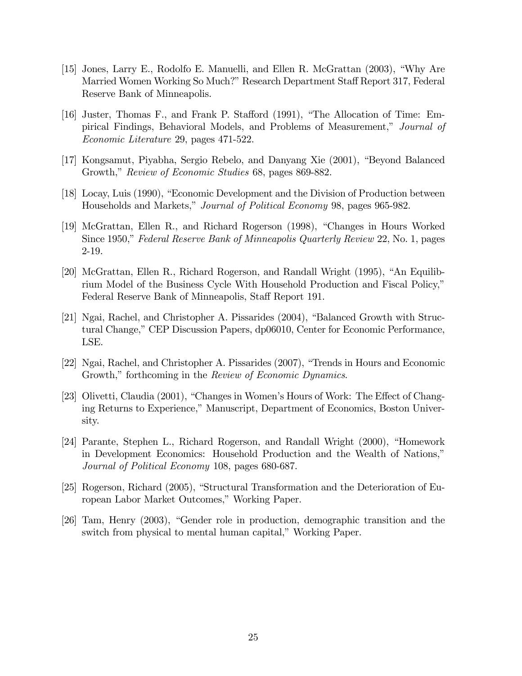- [15] Jones, Larry E., Rodolfo E. Manuelli, and Ellen R. McGrattan  $(2003)$ , "Why Are Married Women Working So Much?" Research Department Staff Report 317, Federal Reserve Bank of Minneapolis.
- [16] Juster, Thomas F., and Frank P. Stafford  $(1991)$ , "The Allocation of Time: Empirical Findings, Behavioral Models, and Problems of Measurement," Journal of Economic Literature 29, pages 471-522.
- [17] Kongsamut, Piyabha, Sergio Rebelo, and Danyang Xie (2001), "Beyond Balanced Growth," Review of Economic Studies 68, pages 869-882.
- [18] Locay, Luis (1990), "Economic Development and the Division of Production between Households and Markets," Journal of Political Economy 98, pages 965-982.
- [19] McGrattan, Ellen R., and Richard Rogerson (1998), "Changes in Hours Worked Since 1950," Federal Reserve Bank of Minneapolis Quarterly Review 22, No. 1, pages 2-19.
- [20] McGrattan, Ellen R., Richard Rogerson, and Randall Wright  $(1995)$ , "An Equilibrium Model of the Business Cycle With Household Production and Fiscal Policy," Federal Reserve Bank of Minneapolis, Staff Report 191.
- [21] Ngai, Rachel, and Christopher A. Pissarides  $(2004)$ , "Balanced Growth with Structural Change," CEP Discussion Papers, dp06010, Center for Economic Performance, LSE.
- [22] Ngai, Rachel, and Christopher A. Pissarides  $(2007)$ , "Trends in Hours and Economic Growth," forthcoming in the Review of Economic Dynamics.
- [23] Olivetti, Claudia (2001), "Changes in Women's Hours of Work: The Effect of Changing Returns to Experience," Manuscript, Department of Economics, Boston University.
- [24] Parante, Stephen L., Richard Rogerson, and Randall Wright (2000), "Homework in Development Economics: Household Production and the Wealth of Nations," Journal of Political Economy 108, pages 680-687.
- [25] Rogerson, Richard (2005), "Structural Transformation and the Deterioration of European Labor Market Outcomes," Working Paper.
- [26] Tam, Henry (2003), "Gender role in production, demographic transition and the switch from physical to mental human capital," Working Paper.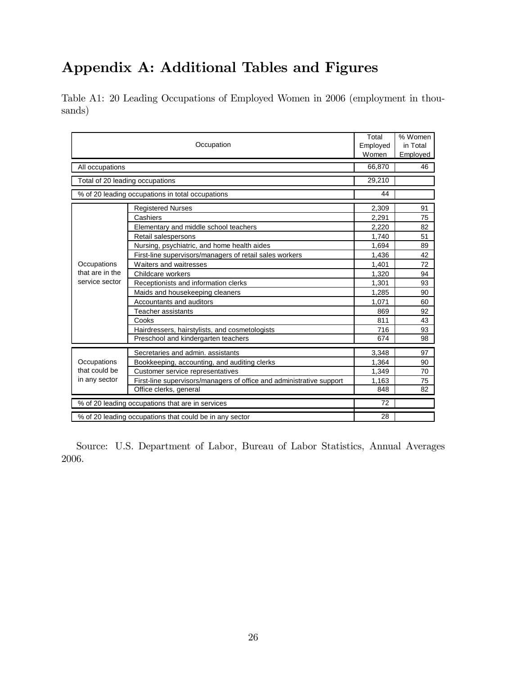# Appendix A: Additional Tables and Figures

Table A1: 20 Leading Occupations of Employed Women in 2006 (employment in thousands)

| Occupation                                              |                                                                      | Total<br>Employed<br>Women | % Women<br>in Total<br>Employed |
|---------------------------------------------------------|----------------------------------------------------------------------|----------------------------|---------------------------------|
| All occupations                                         |                                                                      | 66,870                     | 46                              |
| Total of 20 leading occupations                         |                                                                      | 29,210                     |                                 |
|                                                         | % of 20 leading occupations in total occupations                     |                            |                                 |
|                                                         | <b>Registered Nurses</b>                                             | 2,309                      | 91                              |
|                                                         | Cashiers                                                             | 2,291                      | 75                              |
|                                                         | Elementary and middle school teachers                                | 2,220                      | 82                              |
|                                                         | Retail salespersons                                                  | 1,740                      | 51                              |
|                                                         | Nursing, psychiatric, and home health aides                          | 1.694                      | 89                              |
|                                                         | First-line supervisors/managers of retail sales workers              | 1,436                      | 42                              |
| Occupations                                             | Waiters and waitresses                                               | 1,401                      | 72                              |
| that are in the                                         | Childcare workers                                                    | 1,320                      | 94                              |
| service sector                                          | Receptionists and information clerks                                 | 1,301                      | 93                              |
|                                                         | Maids and housekeeping cleaners                                      | 1.285                      | 90                              |
|                                                         | Accountants and auditors                                             | 1,071                      | 60                              |
|                                                         | Teacher assistants                                                   | 869                        | 92                              |
|                                                         | Cooks                                                                | 811                        | 43                              |
|                                                         | Hairdressers, hairstylists, and cosmetologists                       | 716                        | 93                              |
|                                                         | Preschool and kindergarten teachers                                  | 674                        | 98                              |
|                                                         | Secretaries and admin, assistants                                    | 3,348                      | 97                              |
| Occupations<br>that could be<br>in any sector           | Bookkeeping, accounting, and auditing clerks                         | 1,364                      | 90                              |
|                                                         | Customer service representatives                                     | 1,349                      | 70                              |
|                                                         | First-line supervisors/managers of office and administrative support | 1,163                      | 75                              |
|                                                         | Office clerks, general                                               | 848                        | 82                              |
| % of 20 leading occupations that are in services        |                                                                      | 72                         |                                 |
| % of 20 leading occupations that could be in any sector |                                                                      | 28                         |                                 |

Source: U.S. Department of Labor, Bureau of Labor Statistics, Annual Averages 2006.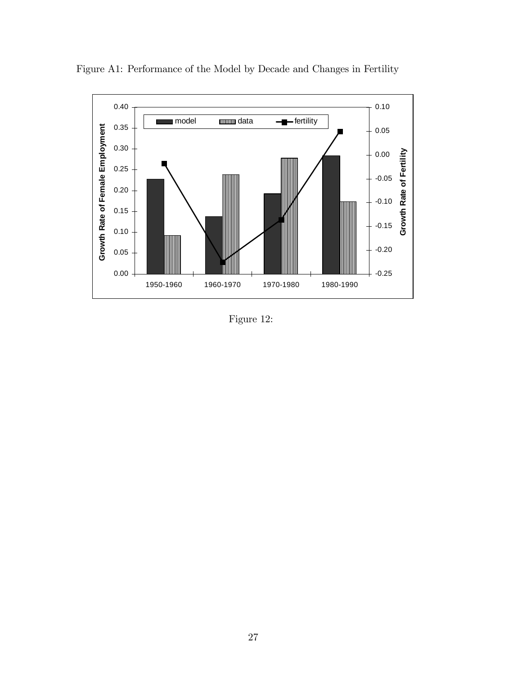

Figure A1: Performance of the Model by Decade and Changes in Fertility

Figure 12: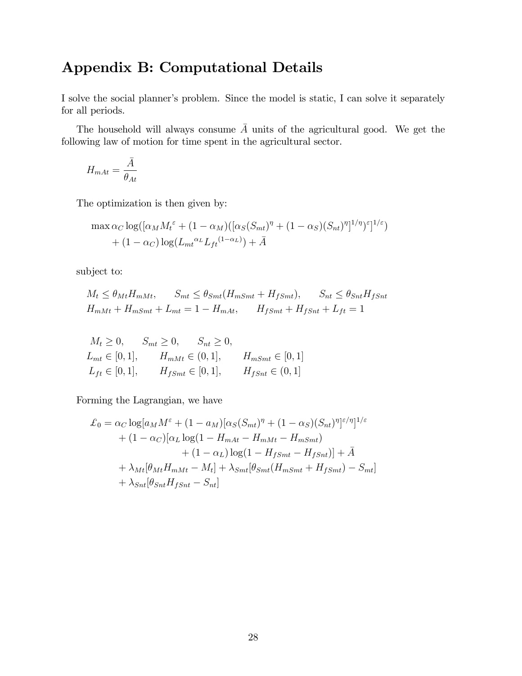# Appendix B: Computational Details

I solve the social planner's problem. Since the model is static, I can solve it separately for all periods.

The household will always consume  $\overline{A}$  units of the agricultural good. We get the following law of motion for time spent in the agricultural sector.

$$
H_{mAt} = \frac{\bar{A}}{\theta_{At}}
$$

The optimization is then given by:

$$
\max \alpha_C \log([\alpha_M M_t^{\varepsilon} + (1 - \alpha_M)([\alpha_S (S_{mt})^{\eta} + (1 - \alpha_S)(S_{nt})^{\eta}]^{1/\eta})^{\varepsilon}]^{1/\varepsilon})
$$
  
+ (1 - \alpha\_C) \log(L\_{mt}^{\alpha\_L} L\_{ft}^{(1 - \alpha\_L)}) + \bar{A}

subject to:

$$
M_t \leq \theta_{Mt} H_{mMt}, \qquad S_{mt} \leq \theta_{Smt} (H_{mSmt} + H_{fSmt}), \qquad S_{nt} \leq \theta_{Snt} H_{fSnt}
$$
  

$$
H_{mMt} + H_{mSmt} + L_{mt} = 1 - H_{mAt}, \qquad H_{fSmt} + H_{fSnt} + L_{ft} = 1
$$

$$
M_t \ge 0, \t S_{mt} \ge 0, \t S_{nt} \ge 0,
$$
  
\n
$$
L_{mt} \in [0, 1], \t H_{mMt} \in (0, 1], \t H_{mSmt} \in [0, 1]
$$
  
\n
$$
L_{ft} \in [0, 1], \t H_{fSmt} \in [0, 1], \t H_{fSmt} \in (0, 1]
$$

Forming the Lagrangian, we have

$$
\mathcal{L}_0 = \alpha_C \log[a_M M^{\varepsilon} + (1 - a_M)[\alpha_S(S_{mt})^{\eta} + (1 - \alpha_S)(S_{nt})^{\eta}]^{\varepsilon/\eta}]^{1/\varepsilon} \n+ (1 - \alpha_C)[\alpha_L \log(1 - H_{mAt} - H_{mMt} - H_{mSmt}) \n+ (1 - \alpha_L) \log(1 - H_{fSmt} - H_{fSmt})] + \bar{A} \n+ \lambda_{Mt}[\theta_{Mt}H_{mMt} - M_t] + \lambda_{Smt}[\theta_{Smt}(H_{mSmt} + H_{fSmt}) - S_{mt}] \n+ \lambda_{Snt}[\theta_{Snt}H_{fSmt} - S_{nt}]
$$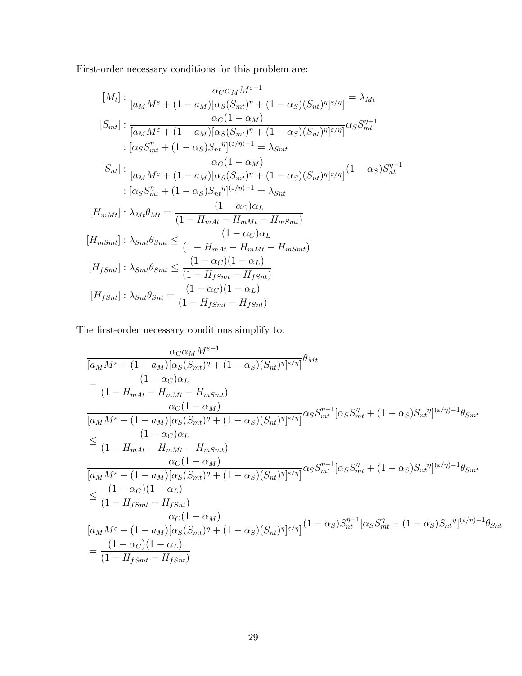First-order necessary conditions for this problem are:

$$
[M_{t}] : \frac{\alpha_{C}\alpha_{M}M^{\varepsilon-1}}{[a_{M}M^{\varepsilon} + (1 - a_{M})[\alpha_{S}(S_{mt})^{\eta} + (1 - \alpha_{S})(S_{nt})^{\eta}]^{\varepsilon/\eta}}] = \lambda_{Mt}
$$
  
\n
$$
[S_{mt}] : \frac{\alpha_{C}(1 - \alpha_{M})}{[a_{M}M^{\varepsilon} + (1 - a_{M})[\alpha_{S}(S_{mt})^{\eta} + (1 - \alpha_{S})(S_{nt})^{\eta}]^{\varepsilon/\eta}}\alpha_{S}S_{mt}^{\eta-1}
$$
  
\n
$$
[S_{nt}] : \frac{\alpha_{C}(1 - \alpha_{M})}{[a_{M}M^{\varepsilon} + (1 - \alpha_{S})S_{nt}^{\eta}]^{(\varepsilon/\eta)-1}} = \lambda_{Smt}
$$
  
\n
$$
[S_{nt}] : \frac{\alpha_{C}(1 - \alpha_{M})}{[a_{M}M^{\varepsilon} + (1 - a_{M})[\alpha_{S}(S_{mt})^{\eta} + (1 - \alpha_{S})(S_{nt})^{\eta}]^{\varepsilon/\eta}}(1 - \alpha_{S})S_{nt}^{\eta-1}
$$
  
\n
$$
[B_{mMt}] : \lambda_{Mt}\theta_{Mt} = \frac{(1 - \alpha_{C})\alpha_{L}}{(1 - H_{mAt} - H_{mMt} - H_{mSmt})}
$$
  
\n
$$
[H_{mSmt}] : \lambda_{Smt}\theta_{Smt} \leq \frac{(1 - \alpha_{C})\alpha_{L}}{(1 - H_{mAt} - H_{mMt} - H_{mSmt})}
$$
  
\n
$$
[H_{fSmt}] : \lambda_{Smt}\theta_{Smt} \leq \frac{(1 - \alpha_{C})(1 - \alpha_{L})}{(1 - H_{fSmt} - H_{fSmt})}
$$
  
\n
$$
[H_{fSmt}] : \lambda_{Snt}\theta_{Snt} = \frac{(1 - \alpha_{C})(1 - \alpha_{L})}{(1 - H_{fSmt} - H_{fSmt})}
$$

The first-order necessary conditions simplify to:

$$
\frac{\alpha_{C}\alpha_{M}M^{\varepsilon-1}}{[a_{M}M^{\varepsilon} + (1 - a_{M})[\alpha_{S}(S_{mt})^{\eta} + (1 - \alpha_{S})(S_{nt})^{\eta}]^{\varepsilon/\eta}} \theta_{Mt}
$$
\n
$$
= \frac{(1 - \alpha_{C})\alpha_{L}}{(1 - H_{mAt} - H_{mMt} - H_{mSmt})}
$$
\n
$$
\frac{\alpha_{C}(1 - \alpha_{M})}{[a_{M}M^{\varepsilon} + (1 - a_{M})[\alpha_{S}(S_{mt})^{\eta} + (1 - \alpha_{S})(S_{nt})^{\eta}]^{\varepsilon/\eta}} \alpha_{S}S_{mt}^{\eta-1}[\alpha_{S}S_{mt}^{\eta} + (1 - \alpha_{S})S_{nt}^{\eta}]^{(\varepsilon/\eta)-1} \theta_{Smt}
$$
\n
$$
\leq \frac{(1 - \alpha_{C})\alpha_{L}}{(1 - H_{mAt} - H_{mMt} - H_{mSmt})}
$$
\n
$$
\frac{\alpha_{C}(1 - \alpha_{M})}{[\alpha_{M}M^{\varepsilon} + (1 - a_{M})[\alpha_{S}(S_{mt})^{\eta} + (1 - \alpha_{S})(S_{nt})^{\eta}]^{\varepsilon/\eta}]^{\alpha_{S}S_{mt}^{\eta-1}}[\alpha_{S}S_{mt}^{\eta} + (1 - \alpha_{S})S_{nt}^{\eta}]^{(\varepsilon/\eta)-1} \theta_{Smt}
$$
\n
$$
\leq \frac{(1 - \alpha_{C})(1 - \alpha_{L})}{(1 - H_{fSmt} - H_{fSmt})}
$$
\n
$$
\frac{\alpha_{C}(1 - \alpha_{M})}{[\alpha_{M}M^{\varepsilon} + (1 - a_{M})[\alpha_{S}(S_{mt})^{\eta} + (1 - \alpha_{S})(S_{nt})^{\eta}]^{\varepsilon/\eta}]}(1 - \alpha_{S})S_{nt}^{\eta-1}[\alpha_{S}S_{mt}^{\eta} + (1 - \alpha_{S})S_{nt}^{\eta}]^{(\varepsilon/\eta)-1} \theta_{Snt}
$$
\n
$$
= \frac{(1 - \alpha_{C})(1 - \alpha_{L})}{(1 - H_{fSmt} - H_{fSmt})}
$$